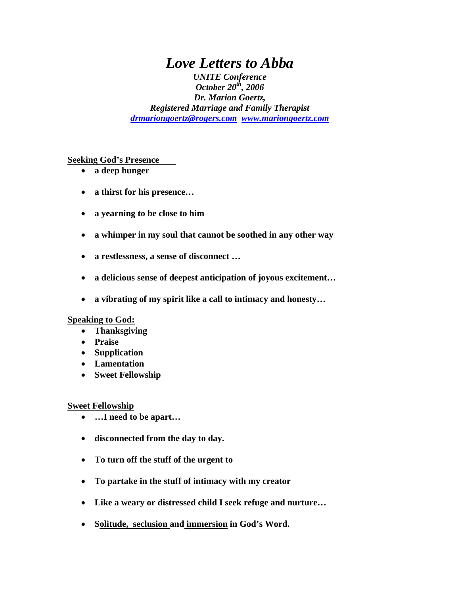# *Love Letters to Abba*

*UNITE Conference October 20th, 2006 Dr. Marion Goertz, Registered Marriage and Family Therapist [drmariongoertz@rogers.com](mailto:drmariongogertz@rogers.com) [www.mariongoertz.com](http://www.mariongoertz.com/)* 

**Seeking God's Presence** 

- **a deep hunger**
- **a thirst for his presence…**
- **a yearning to be close to him**
- **a whimper in my soul that cannot be soothed in any other way**
- **a restlessness, a sense of disconnect …**
- **a delicious sense of deepest anticipation of joyous excitement…**
- **a vibrating of my spirit like a call to intimacy and honesty…**

#### **Speaking to God:**

- **Thanksgiving**
- **Praise**
- **Supplication**
- **Lamentation**
- **Sweet Fellowship**

#### **Sweet Fellowship**

- **…I need to be apart…**
- **disconnected from the day to day.**
- **To turn off the stuff of the urgent to**
- **To partake in the stuff of intimacy with my creator**
- **Like a weary or distressed child I seek refuge and nurture…**
- **Solitude, seclusion and immersion in God's Word.**